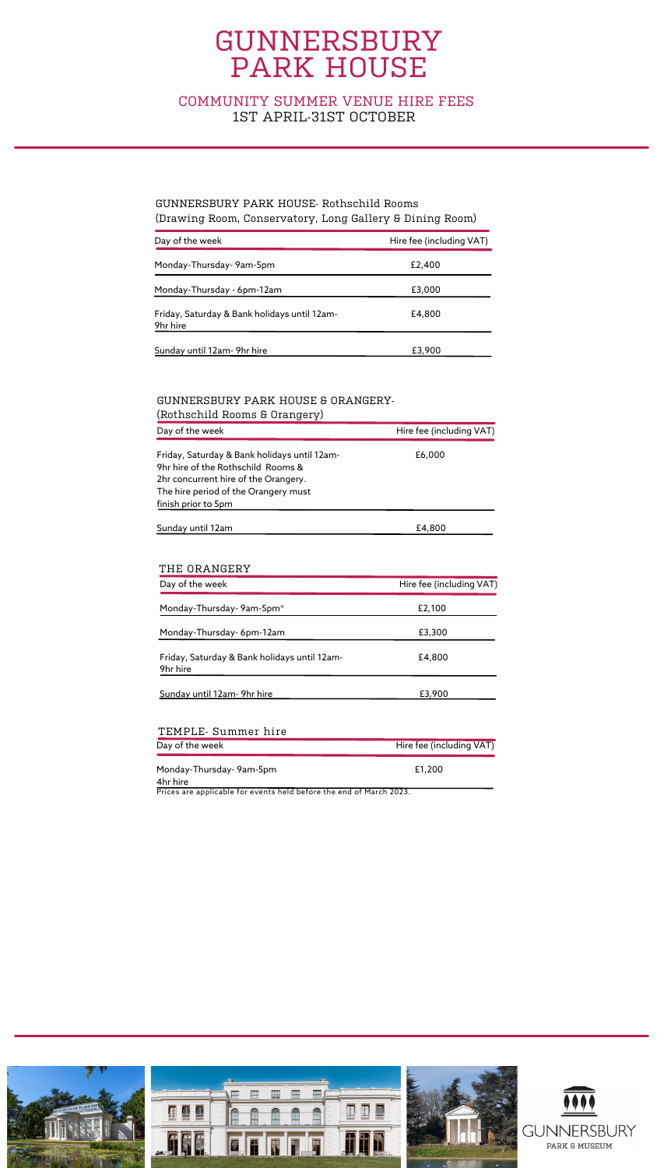### COMMUNITY SUMMER VENUE HIRE FEES 1ST APRIL-31ST OCTOBER

| Day of the week                                          | Hire fee (including VAT) |
|----------------------------------------------------------|--------------------------|
| Monday-Thursday-9am-5pm                                  | £2,400                   |
| Monday-Thursday - 6pm-12am                               | £3,000                   |
| Friday, Saturday & Bank holidays until 12am-<br>9hr hire | £4,800                   |
| Sunday until 12am- 9hr hire                              | £3,900                   |

| <u>(Kotitschillu Koolits u Oldityel V)</u>                                                                                                                                                |                          |
|-------------------------------------------------------------------------------------------------------------------------------------------------------------------------------------------|--------------------------|
| Day of the week                                                                                                                                                                           | Hire fee (including VAT) |
| Friday, Saturday & Bank holidays until 12am-<br>9hr hire of the Rothschild Rooms &<br>2hr concurrent hire of the Orangery.<br>The hire period of the Orangery must<br>finish prior to 5pm | £6,000                   |
| Sunday until 12am                                                                                                                                                                         | £4,800                   |

### GUNNERSBURY PARK HOUSE- Rothschild Rooms (Drawing Room, Conservatory, Long Gallery & Dining Room)

#### GUNNERSBURY PARK HOUSE & ORANGERY- (Rothschild Rooms & Orangery)

| Day of the week                                          | Hire fee (including VAT) |
|----------------------------------------------------------|--------------------------|
| Monday-Thursday-9am-5pm*                                 | £2,100                   |
| Monday-Thursday-6pm-12am                                 | £3,300                   |
| Friday, Saturday & Bank holidays until 12am-<br>9hr hire | £4,800                   |
| Sunday until 12am-9hr hire                               | £3,900                   |

| TEMPLE- Summer hire                 |                          |
|-------------------------------------|--------------------------|
| Day of the week                     | Hire fee (including VAT) |
| Monday-Thursday-9am-5pm<br>4hr hire | £1,200                   |

#### THE ORANGERY

Prices are applicable for events held before the end of March 2023.

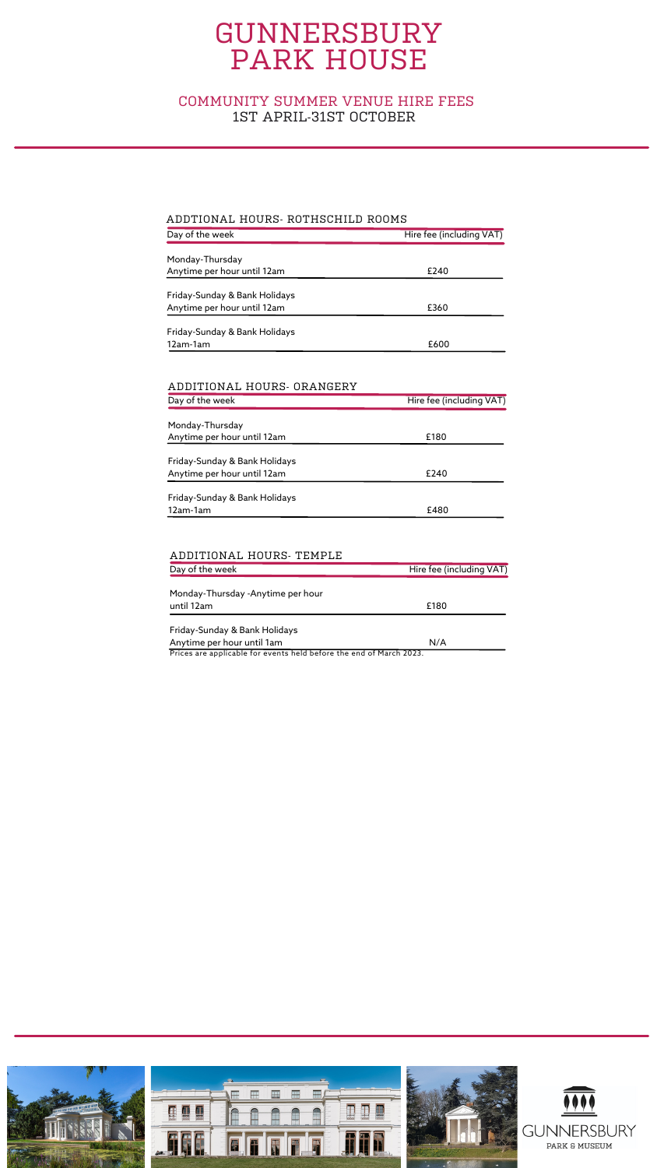| Day of the week               | Hire fee (including VAT) |
|-------------------------------|--------------------------|
|                               |                          |
| Monday-Thursday               |                          |
| Anytime per hour until 12am   | £240                     |
|                               |                          |
| Friday-Sunday & Bank Holidays |                          |
| Anytime per hour until 12am   | £360                     |
| Friday-Sunday & Bank Holidays |                          |
| 12am-1am                      | £600                     |
|                               |                          |
|                               |                          |

| Day of the week               | Hire fee (including VAT) |
|-------------------------------|--------------------------|
| Monday-Thursday               |                          |
| Anytime per hour until 12am   | £180                     |
| Friday-Sunday & Bank Holidays |                          |
| Anytime per hour until 12am   | £240                     |
| Friday-Sunday & Bank Holidays |                          |
| 12am-1am                      | £480                     |

| Day of the week                                                                                            | Hire fee (including VAT) |
|------------------------------------------------------------------------------------------------------------|--------------------------|
| Monday-Thursday -Anytime per hour                                                                          |                          |
| until 12am                                                                                                 | £180                     |
| Friday-Sunday & Bank Holidays                                                                              |                          |
| Anytime per hour until 1am<br><b>D.</b> C. (1995) <b>1999 1999 1999 1999 1999 1999 1999 1999 1999 1999</b> | N/A                      |

#### ADDTIONAL HOURS- ROTHSCHILD ROOMS

Prices are applicable for events held before the end of March 2023.



#### ADDITIONAL HOURS- ORANGERY

#### ADDITIONAL HOURS- TEMPLE

### COMMUNITY SUMMER VENUE HIRE FEES 1ST APRIL-31ST OCTOBER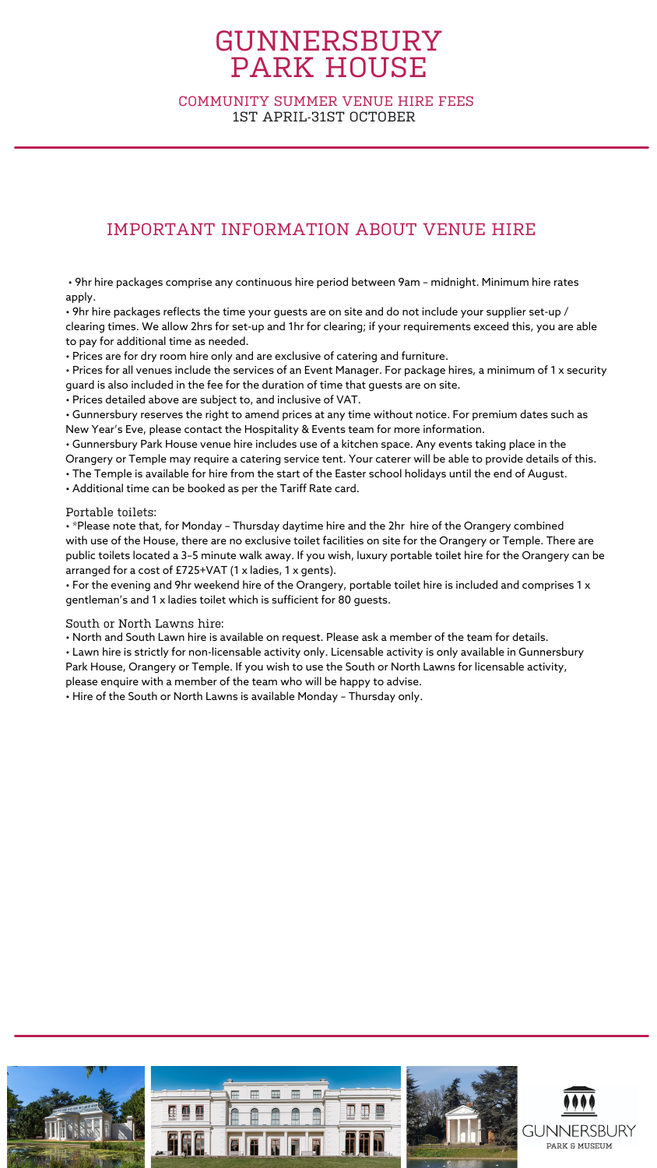## IMPORTANT INFORMATION ABOUT VENUE HIRE

• 9hr hire packages comprise any continuous hire period between 9am – midnight. Minimum hire rates apply.

 $\bm{\cdot}$  9hr hire packages reflects the time your guests are on site and do not include your supplier set-up / clearing times. We allow 2hrs for set-up and 1hr for clearing; if your requirements exceed this, you are able to pay for additional time as needed.

• Prices are for dry room hire only and are exclusive of catering and furniture.

• Prices for all venues include the services of an Event Manager. For package hires, a minimum of 1 x security guard is also included in the fee for the duration of time that guests are on site.

• Prices detailed above are subject to, and inclusive of VAT.

• Gunnersbury reserves the right to amend prices at any time without notice. For premium dates such as New Year's Eve, please contact the Hospitality & Events team for more information.

• Gunnersbury Park House venue hire includes use of a kitchen space. Any events taking place in the Orangery or Temple may require a catering service tent. Your caterer will be able to provide details of this.

• The Temple is available for hire from the start of the Easter school holidays until the end of August.

• Additional time can be booked as per the Tariff Rate card.

Portable toilets:

• \*Please note that, for Monday – Thursday daytime hire and the 2hr hire of the Orangery combined with use of the House, there are no exclusive toilet facilities on site for the Orangery or Temple. There are public toilets located a 3–5 minute walk away. If you wish, luxury portable toilet hire for the Orangery can be arranged for a cost of £725+VAT (1 x ladies, 1 x gents).

• For the evening and 9hr weekend hire of the Orangery, portable toilet hire is included and comprises 1 x gentleman's and 1 x ladies toilet which is sufficient for 80 guests.

South or North Lawns hire:

• North and South Lawn hire is available on request. Please ask a member of the team for details.

• Lawn hire is strictly for non-licensable activity only. Licensable activity is only available in Gunnersbury Park House, Orangery or Temple. If you wish to use the South or North Lawns for licensable activity,

please enquire with a member of the team who will be happy to advise.

• Hire of the South or North Lawns is available Monday – Thursday only.



### COMMUNITY SUMMER VENUE HIRE FEES 1ST APRIL-31ST OCTOBER